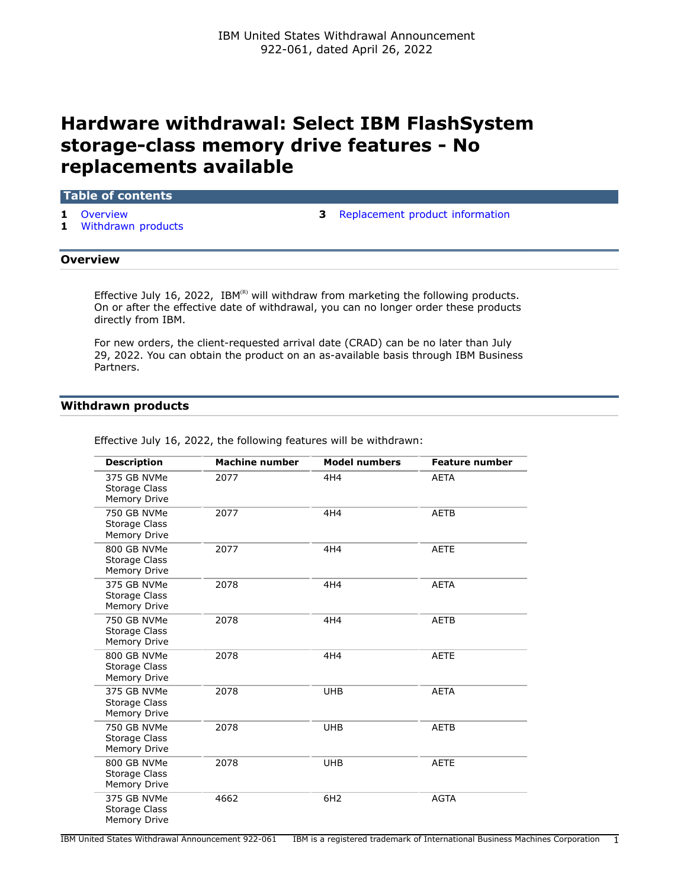# **Hardware withdrawal: Select IBM FlashSystem storage-class memory drive features - No replacements available**

## **Table of contents**

- 
- **1** [Withdrawn products](#page-0-1)
- **1** [Overview](#page-0-0) **3** [Replacement product information](#page-2-0)

### <span id="page-0-0"></span>**Overview**

Effective July 16, 2022, IBM $^{(R)}$  will withdraw from marketing the following products. On or after the effective date of withdrawal, you can no longer order these products directly from IBM.

For new orders, the client-requested arrival date (CRAD) can be no later than July 29, 2022. You can obtain the product on an as-available basis through IBM Business Partners.

## <span id="page-0-1"></span>**Withdrawn products**

| <b>Description</b>                                         | <b>Machine number</b> | <b>Model numbers</b> | <b>Feature number</b> |
|------------------------------------------------------------|-----------------------|----------------------|-----------------------|
| 375 GB NVMe<br><b>Storage Class</b><br>Memory Drive        | 2077                  | 4H4                  | <b>AETA</b>           |
| 750 GB NVMe<br><b>Storage Class</b><br><b>Memory Drive</b> | 2077                  | 4H4                  | <b>AETB</b>           |
| 800 GB NVMe<br><b>Storage Class</b><br><b>Memory Drive</b> | 2077                  | 4H4                  | <b>AETE</b>           |
| 375 GB NVMe<br>Storage Class<br><b>Memory Drive</b>        | 2078                  | 4H4                  | <b>AETA</b>           |
| 750 GB NVMe<br><b>Storage Class</b><br>Memory Drive        | 2078                  | 4H4                  | <b>AETB</b>           |
| 800 GB NVMe<br><b>Storage Class</b><br><b>Memory Drive</b> | 2078                  | 4H4                  | <b>AETE</b>           |
| 375 GB NVMe<br><b>Storage Class</b><br><b>Memory Drive</b> | 2078                  | <b>UHB</b>           | <b>AETA</b>           |
| 750 GB NVMe<br><b>Storage Class</b><br><b>Memory Drive</b> | 2078                  | <b>UHB</b>           | <b>AETB</b>           |
| 800 GB NVMe<br>Storage Class<br><b>Memory Drive</b>        | 2078                  | <b>UHB</b>           | <b>AETE</b>           |
| 375 GB NVMe<br>Storage Class<br><b>Memory Drive</b>        | 4662                  | 6H <sub>2</sub>      | <b>AGTA</b>           |

Effective July 16, 2022, the following features will be withdrawn: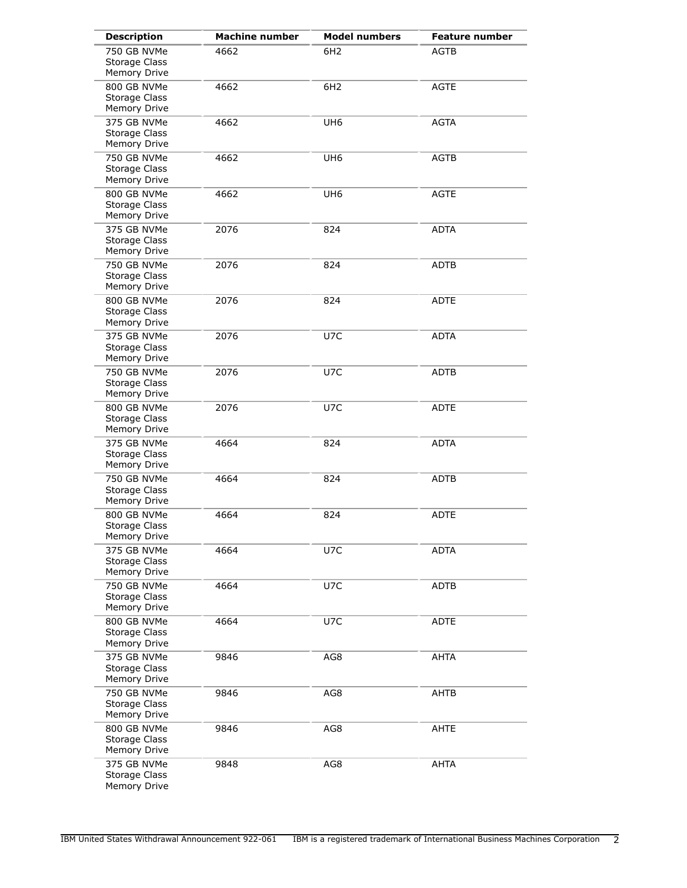| <b>Description</b>                                  | <b>Machine number</b> | <b>Model numbers</b> | <b>Feature number</b> |
|-----------------------------------------------------|-----------------------|----------------------|-----------------------|
| 750 GB NVMe<br><b>Storage Class</b><br>Memory Drive | 4662                  | 6H <sub>2</sub>      | <b>AGTB</b>           |
| 800 GB NVMe<br>Storage Class<br>Memory Drive        | 4662                  | 6H <sub>2</sub>      | <b>AGTE</b>           |
| 375 GB NVMe<br>Storage Class<br>Memory Drive        | 4662                  | UH <sub>6</sub>      | <b>AGTA</b>           |
| 750 GB NVMe<br>Storage Class<br>Memory Drive        | 4662                  | UH <sub>6</sub>      | <b>AGTB</b>           |
| 800 GB NVMe<br>Storage Class<br>Memory Drive        | 4662                  | UH <sub>6</sub>      | <b>AGTE</b>           |
| 375 GB NVMe<br>Storage Class<br>Memory Drive        | 2076                  | 824                  | <b>ADTA</b>           |
| 750 GB NVMe<br>Storage Class<br>Memory Drive        | 2076                  | 824                  | ADTB                  |
| 800 GB NVMe<br>Storage Class<br>Memory Drive        | 2076                  | 824                  | <b>ADTE</b>           |
| 375 GB NVMe<br>Storage Class<br>Memory Drive        | 2076                  | U7C                  | <b>ADTA</b>           |
| 750 GB NVMe<br>Storage Class<br>Memory Drive        | 2076                  | U7C                  | ADTB                  |
| 800 GB NVMe<br><b>Storage Class</b><br>Memory Drive | 2076                  | U7C                  | <b>ADTE</b>           |
| 375 GB NVMe<br>Storage Class<br>Memory Drive        | 4664                  | 824                  | <b>ADTA</b>           |
| 750 GB NVMe<br>Storage Class<br>Memory Drive        | 4664                  | 824                  | <b>ADTB</b>           |
| 800 GB NVMe<br><b>Storage Class</b><br>Memory Drive | 4664                  | 824                  | <b>ADTE</b>           |
| 375 GB NVMe<br>Storage Class<br>Memory Drive        | 4664                  | U7C                  | <b>ADTA</b>           |
| 750 GB NVMe<br>Storage Class<br>Memory Drive        | 4664                  | U7C                  | <b>ADTB</b>           |
| 800 GB NVMe<br><b>Storage Class</b><br>Memory Drive | 4664                  | U7C                  | ADTE                  |
| 375 GB NVMe<br><b>Storage Class</b><br>Memory Drive | 9846                  | AG8                  | <b>AHTA</b>           |
| 750 GB NVMe<br>Storage Class<br>Memory Drive        | 9846                  | AG8                  | AHTB                  |
| 800 GB NVMe<br><b>Storage Class</b><br>Memory Drive | 9846                  | AG8                  | AHTE                  |
| 375 GB NVMe<br><b>Storage Class</b><br>Memory Drive | 9848                  | AG8                  | AHTA                  |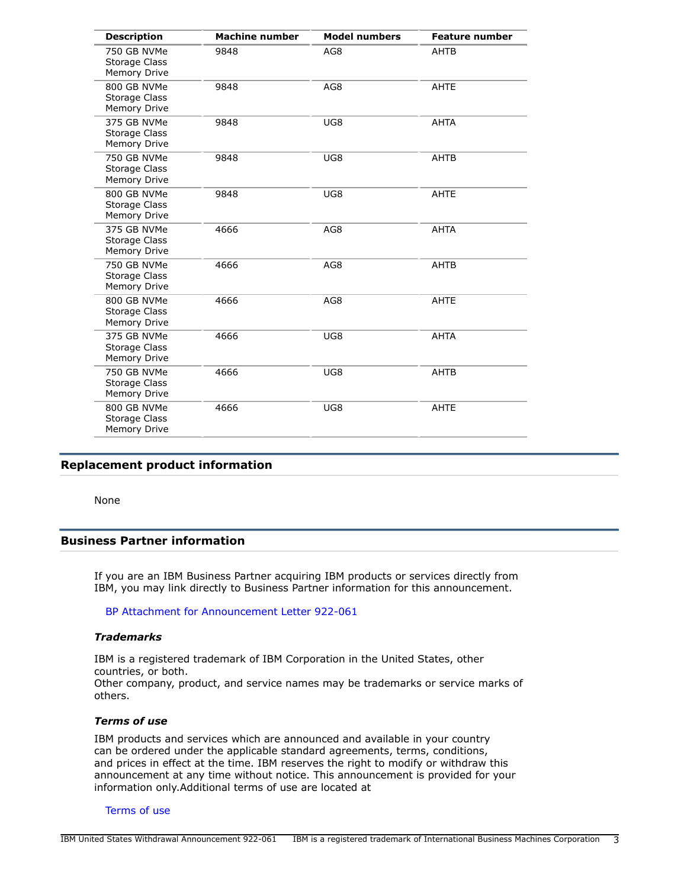| <b>Description</b>                                         | <b>Machine number</b> | <b>Model numbers</b> | <b>Feature number</b> |
|------------------------------------------------------------|-----------------------|----------------------|-----------------------|
| 750 GB NVMe<br><b>Storage Class</b><br><b>Memory Drive</b> | 9848                  | AG8                  | AHTB                  |
| 800 GB NVMe<br><b>Storage Class</b><br>Memory Drive        | 9848                  | AG8                  | <b>AHTE</b>           |
| 375 GB NVMe<br><b>Storage Class</b><br>Memory Drive        | 9848                  | UG8                  | <b>AHTA</b>           |
| 750 GB NVMe<br><b>Storage Class</b><br><b>Memory Drive</b> | 9848                  | UG8                  | <b>AHTB</b>           |
| 800 GB NVMe<br>Storage Class<br><b>Memory Drive</b>        | 9848                  | UG8                  | <b>AHTE</b>           |
| 375 GB NVMe<br><b>Storage Class</b><br><b>Memory Drive</b> | 4666                  | AG8                  | <b>AHTA</b>           |
| 750 GB NVMe<br><b>Storage Class</b><br>Memory Drive        | 4666                  | AG8                  | <b>AHTB</b>           |
| 800 GB NVMe<br>Storage Class<br><b>Memory Drive</b>        | 4666                  | AG8                  | <b>AHTE</b>           |
| 375 GB NVMe<br><b>Storage Class</b><br>Memory Drive        | 4666                  | UG8                  | <b>AHTA</b>           |
| 750 GB NVMe<br><b>Storage Class</b><br><b>Memory Drive</b> | 4666                  | UG8                  | <b>AHTB</b>           |
| 800 GB NVMe<br><b>Storage Class</b><br><b>Memory Drive</b> | 4666                  | UG8                  | <b>AHTE</b>           |

## <span id="page-2-0"></span>**Replacement product information**

None

## **Business Partner information**

If you are an IBM Business Partner acquiring IBM products or services directly from IBM, you may link directly to Business Partner information for this announcement.

[BP Attachment for Announcement Letter 922-061](https://www.ibm.com/partnerworld/mem/sla.jsp?num=922-061)

#### *Trademarks*

IBM is a registered trademark of IBM Corporation in the United States, other countries, or both. Other company, product, and service names may be trademarks or service marks of others.

## *Terms of use*

IBM products and services which are announced and available in your country can be ordered under the applicable standard agreements, terms, conditions, and prices in effect at the time. IBM reserves the right to modify or withdraw this announcement at any time without notice. This announcement is provided for your information only.Additional terms of use are located at

[Terms of use](http://www.ibm.com/legal/us/en/)